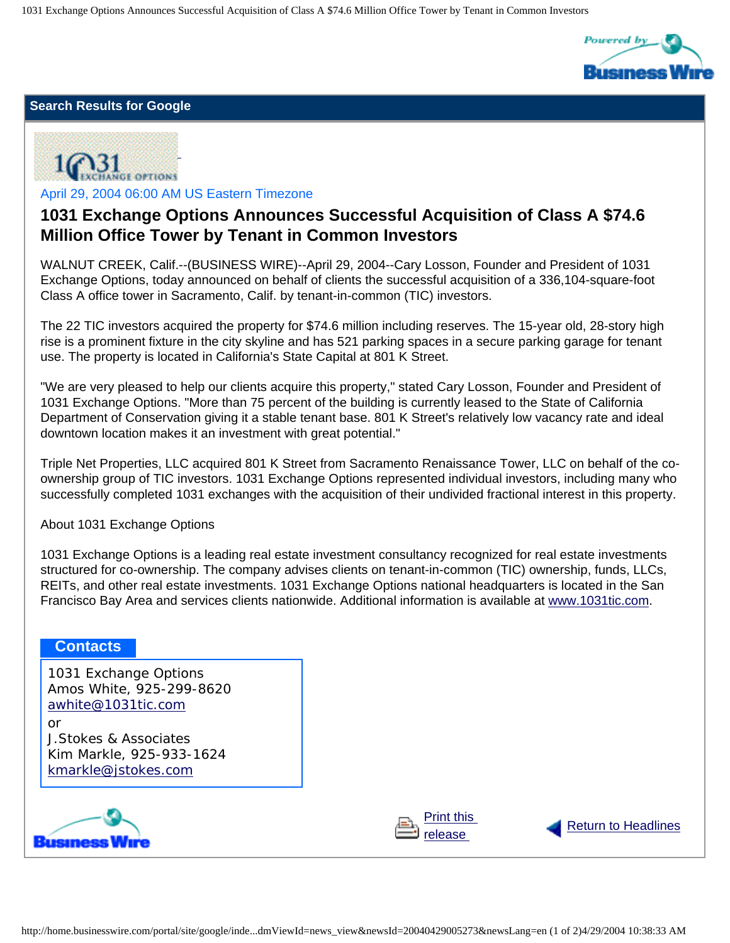1031 Exchange Options Announces Successful Acquisition of Class A \$74.6 Million Office Tower by Tenant in Common Investors



**[Return to Headlines](http://home.businesswire.com/portal/site/google/index.jsp)** 

## **Search Results for Google**



April 29, 2004 06:00 AM US Eastern Timezone

## **1031 Exchange Options Announces Successful Acquisition of Class A \$74.6 Million Office Tower by Tenant in Common Investors**

WALNUT CREEK, Calif.--(BUSINESS WIRE)--April 29, 2004--Cary Losson, Founder and President of 1031 Exchange Options, today announced on behalf of clients the successful acquisition of a 336,104-square-foot Class A office tower in Sacramento, Calif. by tenant-in-common (TIC) investors.

The 22 TIC investors acquired the property for \$74.6 million including reserves. The 15-year old, 28-story high rise is a prominent fixture in the city skyline and has 521 parking spaces in a secure parking garage for tenant use. The property is located in California's State Capital at 801 K Street.

"We are very pleased to help our clients acquire this property," stated Cary Losson, Founder and President of 1031 Exchange Options. "More than 75 percent of the building is currently leased to the State of California Department of Conservation giving it a stable tenant base. 801 K Street's relatively low vacancy rate and ideal downtown location makes it an investment with great potential."

Triple Net Properties, LLC acquired 801 K Street from Sacramento Renaissance Tower, LLC on behalf of the coownership group of TIC investors. 1031 Exchange Options represented individual investors, including many who successfully completed 1031 exchanges with the acquisition of their undivided fractional interest in this property.

About 1031 Exchange Options

1031 Exchange Options is a leading real estate investment consultancy recognized for real estate investments structured for co-ownership. The company advises clients on tenant-in-common (TIC) ownership, funds, LLCs, REITs, and other real estate investments. 1031 Exchange Options national headquarters is located in the San Francisco Bay Area and services clients nationwide. Additional information is available at [www.1031tic.com.](http://www.1031tic.com/)

## **Contacts**

1031 Exchange Options Amos White, 925-299-8620 [awhite@1031tic.com](mailto:awhite@1031tic.com) or

J.Stokes & Associates Kim Markle, 925-933-1624 [kmarkle@jstokes.com](mailto:kmarkle@jstokes.com)